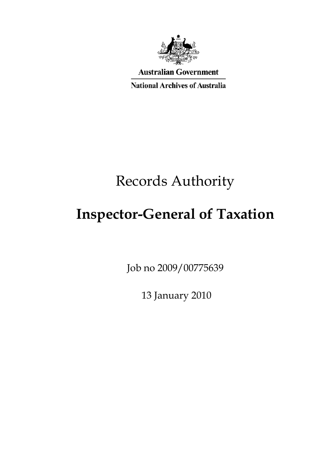

**Australian Government** 

**National Archives of Australia** 

# Records Authority

# **Inspector-General of Taxation**

Job no 2009/00775639

13 January 2010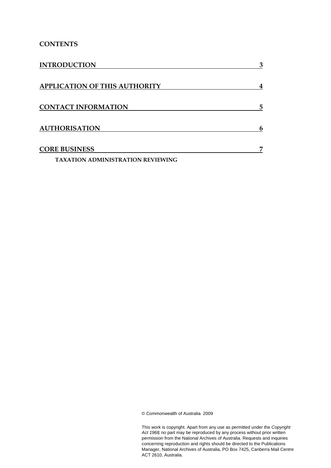#### **CONTENTS**

| <b>INTRODUCTION</b>                      | 3 |
|------------------------------------------|---|
| <b>APPLICATION OF THIS AUTHORITY</b>     | 4 |
| <b>CONTACT INFORMATION</b>               | 5 |
| <b>AUTHORISATION</b>                     | 6 |
| <b>CORE BUSINESS</b>                     | 7 |
| <b>TAXATION ADMINISTRATION REVIEWING</b> |   |

© Commonwealth of Australia 2009

This work is copyright. Apart from any use as permitted under the *Copyright Act 1968,* no part may be reproduced by any process without prior written permission from the National Archives of Australia. Requests and inquiries concerning reproduction and rights should be directed to the Publications Manager, National Archives of Australia, PO Box 7425, Canberra Mail Centre ACT 2610, Australia.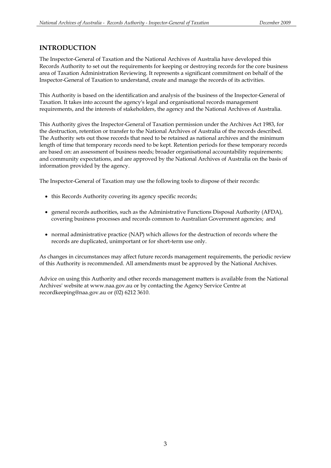#### **INTRODUCTION**

The Inspector-General of Taxation and the National Archives of Australia have developed this Records Authority to set out the requirements for keeping or destroying records for the core business area of Taxation Administration Reviewing. It represents a significant commitment on behalf of the Inspector-General of Taxation to understand, create and manage the records of its activities.

This Authority is based on the identification and analysis of the business of the Inspector-General of Taxation. It takes into account the agency's legal and organisational records management requirements, and the interests of stakeholders, the agency and the National Archives of Australia.

This Authority gives the Inspector-General of Taxation permission under the Archives Act 1983, for the destruction, retention or transfer to the National Archives of Australia of the records described. The Authority sets out those records that need to be retained as national archives and the minimum length of time that temporary records need to be kept. Retention periods for these temporary records are based on: an assessment of business needs; broader organisational accountability requirements; and community expectations, and are approved by the National Archives of Australia on the basis of information provided by the agency.

The Inspector-General of Taxation may use the following tools to dispose of their records:

- this Records Authority covering its agency specific records;
- general records authorities, such as the Administrative Functions Disposal Authority (AFDA), covering business processes and records common to Australian Government agencies; and
- normal administrative practice (NAP) which allows for the destruction of records where the records are duplicated, unimportant or for short-term use only.

As changes in circumstances may affect future records management requirements, the periodic review of this Authority is recommended. All amendments must be approved by the National Archives.

Advice on using this Authority and other records management matters is available from the National Archives' website at www.naa.gov.au or by contacting the Agency Service Centre at recordkeeping@naa.gov.au or (02) 6212 3610.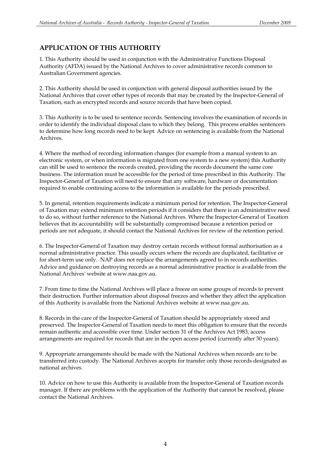### **APPLICATION OF THIS AUTHORITY**

1. This Authority should be used in conjunction with the Administrative Functions Disposal Authority (AFDA) issued by the National Archives to cover administrative records common to Australian Government agencies.

2. This Authority should be used in conjunction with general disposal authorities issued by the National Archives that cover other types of records that may be created by the Inspector-General of Taxation, such as encrypted records and source records that have been copied.

3. This Authority is to be used to sentence records. Sentencing involves the examination of records in order to identify the individual disposal class to which they belong. This process enables sentencers to determine how long records need to be kept. Advice on sentencing is available from the National Archives.

4. Where the method of recording information changes (for example from a manual system to an electronic system, or when information is migrated from one system to a new system) this Authority can still be used to sentence the records created, providing the records document the same core business. The information must be accessible for the period of time prescribed in this Authority. The Inspector-General of Taxation will need to ensure that any software, hardware or documentation required to enable continuing access to the information is available for the periods prescribed.

5. In general, retention requirements indicate a minimum period for retention. The Inspector-General of Taxation may extend minimum retention periods if it considers that there is an administrative need to do so, without further reference to the National Archives. Where the Inspector-General of Taxation believes that its accountability will be substantially compromised because a retention period or periods are not adequate, it should contact the National Archives for review of the retention period.

6. The Inspector-General of Taxation may destroy certain records without formal authorisation as a normal administrative practice. This usually occurs where the records are duplicated, facilitative or for short-term use only. NAP does not replace the arrangements agreed to in records authorities. Advice and guidance on destroying records as a normal administrative practice is available from the National Archives' website at www.naa.gov.au.

7. From time to time the National Archives will place a freeze on some groups of records to prevent their destruction. Further information about disposal freezes and whether they affect the application of this Authority is available from the National Archives website at www.naa.gov.au.

8. Records in the care of the Inspector-General of Taxation should be appropriately stored and preserved. The Inspector-General of Taxation needs to meet this obligation to ensure that the records remain authentic and accessible over time. Under section 31 of the Archives Act 1983, access arrangements are required for records that are in the open access period (currently after 30 years).

9. Appropriate arrangements should be made with the National Archives when records are to be transferred into custody. The National Archives accepts for transfer only those records designated as national archives.

10. Advice on how to use this Authority is available from the Inspector-General of Taxation records manager. If there are problems with the application of the Authority that cannot be resolved, please contact the National Archives.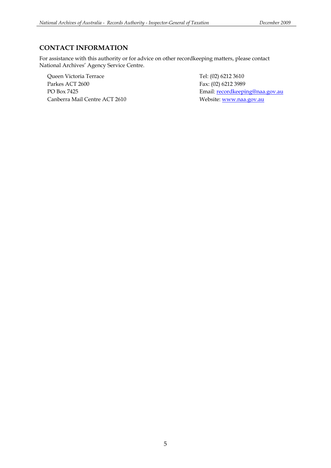### **CONTACT INFORMATION**

For assistance with this authority or for advice on other recordkeeping matters, please contact National Archives' Agency Service Centre.

Queen Victoria Terrace Tel: (02) 6212 3610 Parkes ACT 2600 Fax: (02) 6212 3989 Canberra Mail Centre ACT 2610 Website: www.naa.gov.au

PO Box 7425 Email: recordkeeping@naa.gov.au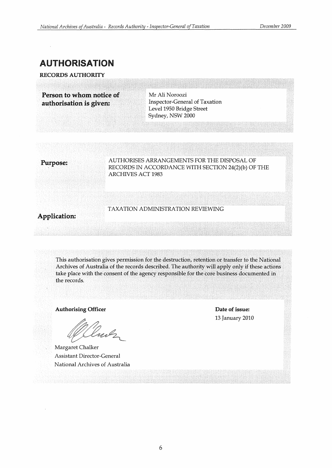## AUTHORISATION

RECORDS AUTHORITY

Person to whom notice of authorisation is given: Inspector-General of Taxation

Mr Ali Noroozi Level 1950 Bridge Street Sydney, NSW 2000

Purpose: AUTHORISES ARRANGEMENTS FOR THE DISPOSAL OF RECORDS IN ACCORDANCE WITH SECTION 24(2)(b) OF THE ARCHIVES ACT 1983

## TAXATION ADMINISTRATION REVIEWING

#### Application:

This authorisation gives permission for the destruction, retention or transfer to the National Archives of Australia of the records described. The authority will apply only if these actions take place with the consent of the agency responsible for the core business documented in the records.

Authorising Officer

ml

Margaret Chalker Assistant Director-General National Archives of Australia

Date of issue: 13 January 2010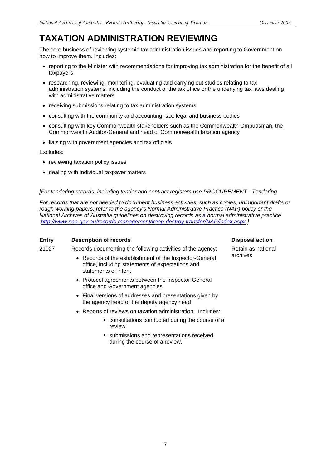# **TAXATION ADMINISTRATION REVIEWING**

The core business of reviewing systemic tax administration issues and reporting to Government on how to improve them. Includes:

- reporting to the Minister with recommendations for improving tax administration for the benefit of all taxpayers
- researching, reviewing, monitoring, evaluating and carrying out studies relating to tax administration systems, including the conduct of the tax office or the underlying tax laws dealing with administrative matters
- receiving submissions relating to tax administration systems
- consulting with the community and accounting, tax, legal and business bodies
- consulting with key Commonwealth stakeholders such as the Commonwealth Ombudsman, the Commonwealth Auditor-General and head of Commonwealth taxation agency
- liaising with government agencies and tax officials

Excludes:

- reviewing taxation policy issues
- dealing with individual taxpayer matters

#### *[For tendering records, including tender and contract registers use PROCUREMENT - Tendering*

*For records that are not needed to document business activities, such as copies, unimportant drafts or rough working papers, refer to the agency's Normal Administrative Practice (NAP) policy or the National Archives of Australia guidelines on destroying records as a normal administrative practice http://www.naa.gov.au/records-management/keep-destroy-transfer/NAP/index.aspx.]* 

#### **Entry** Description of records Disposal action **Disposal action**

21027 Records documenting the following activities of the agency:

- Records of the establishment of the Inspector-General office, including statements of expectations and statements of intent
- Protocol agreements between the Inspector-General office and Government agencies
- Final versions of addresses and presentations given by the agency head or the deputy agency head
- Reports of reviews on taxation administration. Includes:
	- consultations conducted during the course of a review
	- submissions and representations received during the course of a review.

Retain as national archives